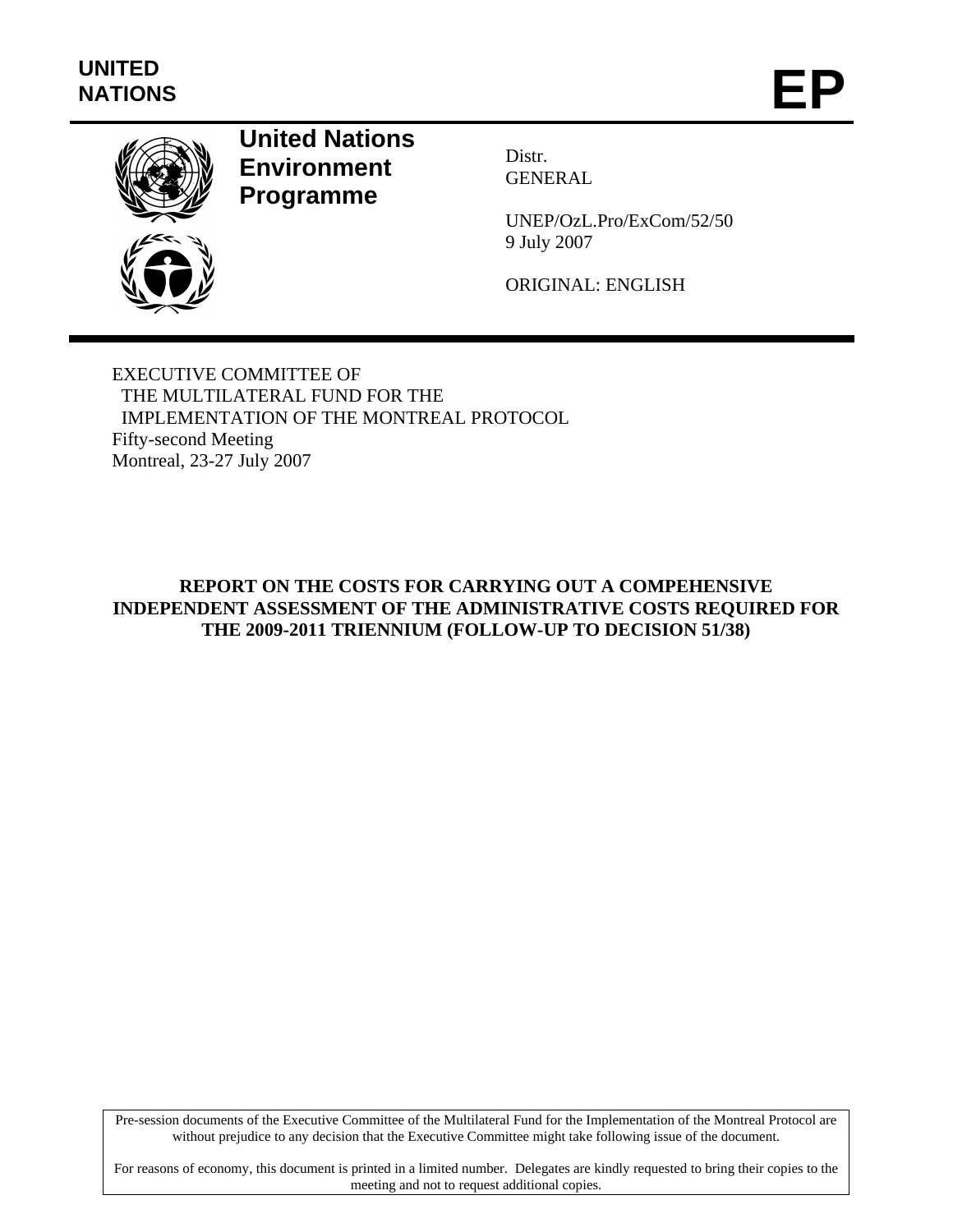

## **United Nations Environment Programme**

Distr. GENERAL

UNEP/OzL.Pro/ExCom/52/50 9 July 2007

ORIGINAL: ENGLISH

EXECUTIVE COMMITTEE OF THE MULTILATERAL FUND FOR THE IMPLEMENTATION OF THE MONTREAL PROTOCOL Fifty-second Meeting Montreal, 23-27 July 2007

## **REPORT ON THE COSTS FOR CARRYING OUT A COMPEHENSIVE INDEPENDENT ASSESSMENT OF THE ADMINISTRATIVE COSTS REQUIRED FOR THE 2009-2011 TRIENNIUM (FOLLOW-UP TO DECISION 51/38)**

Pre-session documents of the Executive Committee of the Multilateral Fund for the Implementation of the Montreal Protocol are without prejudice to any decision that the Executive Committee might take following issue of the document.

For reasons of economy, this document is printed in a limited number. Delegates are kindly requested to bring their copies to the meeting and not to request additional copies.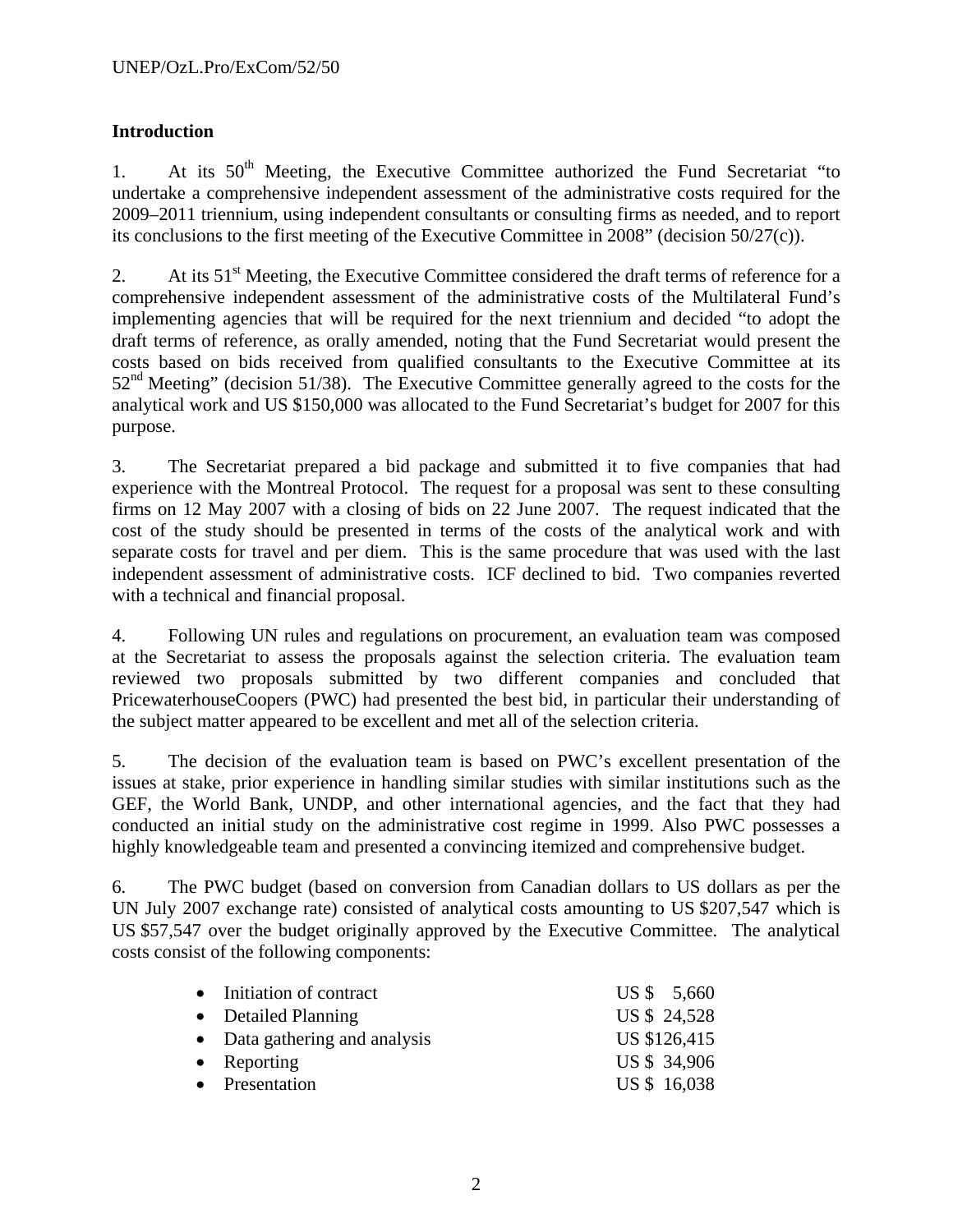## **Introduction**

1. At its  $50<sup>th</sup>$  Meeting, the Executive Committee authorized the Fund Secretariat "to undertake a comprehensive independent assessment of the administrative costs required for the 2009–2011 triennium, using independent consultants or consulting firms as needed, and to report its conclusions to the first meeting of the Executive Committee in 2008" (decision 50/27(c)).

2. At its  $51<sup>st</sup>$  Meeting, the Executive Committee considered the draft terms of reference for a comprehensive independent assessment of the administrative costs of the Multilateral Fund's implementing agencies that will be required for the next triennium and decided "to adopt the draft terms of reference, as orally amended, noting that the Fund Secretariat would present the costs based on bids received from qualified consultants to the Executive Committee at its  $52<sup>nd</sup> Meeting'$  (decision 51/38). The Executive Committee generally agreed to the costs for the analytical work and US \$150,000 was allocated to the Fund Secretariat's budget for 2007 for this purpose.

3. The Secretariat prepared a bid package and submitted it to five companies that had experience with the Montreal Protocol. The request for a proposal was sent to these consulting firms on 12 May 2007 with a closing of bids on 22 June 2007. The request indicated that the cost of the study should be presented in terms of the costs of the analytical work and with separate costs for travel and per diem. This is the same procedure that was used with the last independent assessment of administrative costs. ICF declined to bid. Two companies reverted with a technical and financial proposal.

4. Following UN rules and regulations on procurement, an evaluation team was composed at the Secretariat to assess the proposals against the selection criteria. The evaluation team reviewed two proposals submitted by two different companies and concluded that PricewaterhouseCoopers (PWC) had presented the best bid, in particular their understanding of the subject matter appeared to be excellent and met all of the selection criteria.

5. The decision of the evaluation team is based on PWC's excellent presentation of the issues at stake, prior experience in handling similar studies with similar institutions such as the GEF, the World Bank, UNDP, and other international agencies, and the fact that they had conducted an initial study on the administrative cost regime in 1999. Also PWC possesses a highly knowledgeable team and presented a convincing itemized and comprehensive budget.

6. The PWC budget (based on conversion from Canadian dollars to US dollars as per the UN July 2007 exchange rate) consisted of analytical costs amounting to US \$207,547 which is US \$57,547 over the budget originally approved by the Executive Committee. The analytical costs consist of the following components:

| • Initiation of contract      | US \$ 5,660  |
|-------------------------------|--------------|
| • Detailed Planning           | US \$ 24,528 |
| • Data gathering and analysis | US \$126,415 |
| $\bullet$ Reporting           | US \$ 34,906 |
| • Presentation                | US \$ 16,038 |